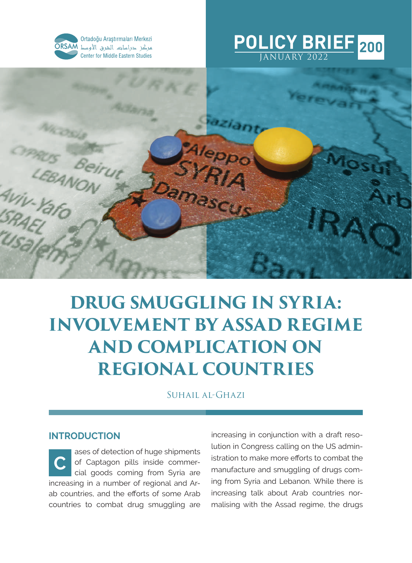

Ortadoğu Araştırmaları Merkezi مركز حراسات الشرق الأوسط ORSAM **Center for Middle Eastern Studies** 

#### **POLICY BRIEF** JANUARY 2022 **200**



# **DRUG SMUGGLING IN SYRIA: INVOLVEMENT BY ASSAD REGIME AND COMPLICATION ON REGIONAL COUNTRIES**

SUHAIL AL-GHAZI

## **INTRODUCTION**

ases of detection of huge shipments of Captagon pills inside commercial goods coming from Syria are increasing in a number of regional and Arab countries, and the efforts of some Arab countries to combat drug smuggling are **C**

increasing in conjunction with a draft resolution in Congress calling on the US administration to make more efforts to combat the manufacture and smuggling of drugs coming from Syria and Lebanon. While there is increasing talk about Arab countries normalising with the Assad regime, the drugs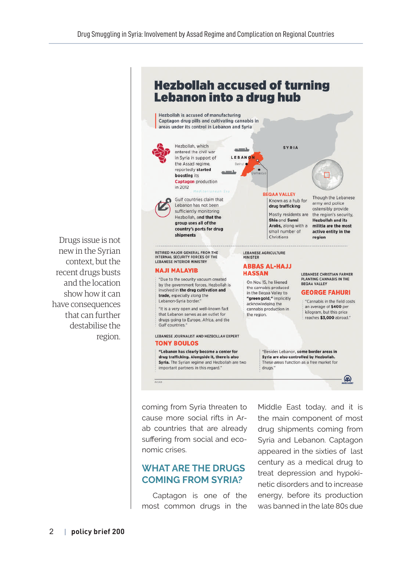**Hezbollah accused of turning Lebanon into a drug hub** Hezbollah is accused of manufacturing Captagon drug pills and cultivating cannabis in areas under its control in Lebanon and Syria Hezbollah, which **SYRIA** an more lies entered the civil war in Syria in support of LEBANON the Assad regime. Beirut C reportedly started boosting its **Captagon** production in 2012 **BEQAA VALLEY** Though the Lebanese Gulf countries claim that Known as a hub for army and police Lebanon has not been drug trafficking ostensibly provide sufficiently monitoring Mostly residents are the region's security. Hezbollah, and that the Shia and Sunni **Hezbollah and its** group uses all of the Arabs, along with a militia are the most country's ports for drug small number of active entity in the shipments Christians region Drugs issue is not RETIRED MAJOR GENERAL FROM THE **LEBANESE AGRICULTURE** INTERNAL SECURITY FORCES OF THE MINISTER LEBANESE INTERIOR MINISTRY **ABBAS AL-HAJJ NAJI MALAVIR HASSAN** LEBANESE CHRISTIAN FARMER "Due to the security vacuum created PLANTING CANNABIS IN THE On Nov. 15, he likened BEQAA VALLEY by the government forces, Hezbollah is the cannabis produced involved in the drug cultivation and **GEORGE FAHURI** in the Begaa Valley to trade, especially along the "green gold," implicitly Lebanon-Syria border.' "Cannabis in the field costs acknowledging the an average of \$400 per "It is a very open and well-known fact cannabis production in kilogram, but this price that Lebanon serves as an outlet for the region. reaches \$3,000 abroad." drugs going to Europe, Africa, and the Gulf countries. LEBANESE JOURNALIST AND HEZBOLLAH EXPERT **TONY BOULOS** "Lebanon has clearly become a center for "Besides Lebanon, some border areas in drug trafficking. Alongside it, there is also Syria are also controlled by Hezbollah. Syria. The Syrian regime and Hezbollah are two These areas function as a free market for important partners in this regard." drugs." **AD**  $mnx23$ 

> coming from Syria threaten to cause more social rifts in Arab countries that are already suffering from social and economic crises.

# **WHAT ARE THE DRUGS COMING FROM SYRIA?**

Captagon is one of the most common drugs in the

Middle East today, and it is the main component of most drug shipments coming from Syria and Lebanon. Captagon appeared in the sixties of last century as a medical drug to treat depression and hypokinetic disorders and to increase energy, before its production was banned in the late 80s due

new in the Syrian context, but the recent drugs busts and the location show how it can have consequences that can further destabilise the region.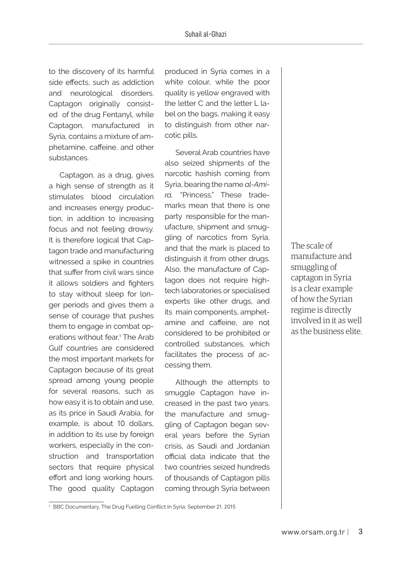to the discovery of its harmful side effects, such as addiction and neurological disorders. Captagon originally consisted of the drug Fentanyl, while Captagon, manufactured in Syria, contains a mixture of amphetamine, caffeine, and other substances.

Captagon, as a drug, gives a high sense of strength as it stimulates blood circulation and increases energy production, in addition to increasing focus and not feeling drowsy. It is therefore logical that Captagon trade and manufacturing witnessed a spike in countries that suffer from civil wars since it allows soldiers and fighters to stay without sleep for longer periods and gives them a sense of courage that pushes them to engage in combat operations without fear.1 The Arab Gulf countries are considered the most important markets for Captagon because of its great spread among young people for several reasons, such as how easy it is to obtain and use, as its price in Saudi Arabia, for example, is about 10 dollars, in addition to its use by foreign workers, especially in the construction and transportation sectors that require physical effort and long working hours. The good quality Captagon produced in Syria comes in a white colour, while the poor quality is yellow engraved with the letter C and the letter L label on the bags, making it easy to distinguish from other narcotic pills.

Several Arab countries have also seized shipments of the narcotic hashish coming from Syria, bearing the name *al-Amira,* "Princess." These trademarks mean that there is one party responsible for the manufacture, shipment and smuggling of narcotics from Syria, and that the mark is placed to distinguish it from other drugs. Also, the manufacture of Captagon does not require hightech laboratories or specialised experts like other drugs, and its main components, amphetamine and caffeine, are not considered to be prohibited or controlled substances, which facilitates the process of accessing them.

Although the attempts to smuggle Captagon have increased in the past two years, the manufacture and smuggling of Captagon began several years before the Syrian crisis, as Saudi and Jordanian official data indicate that the two countries seized hundreds of thousands of Captagon pills coming through Syria between The scale of manufacture and smuggling of captagon in Syria is a clear example of how the Syrian regime is directly involved in it as well as the business elite.

<sup>1</sup> BBC Documentary, The Drug Fuelling Conflict In Syria, September 21, 2015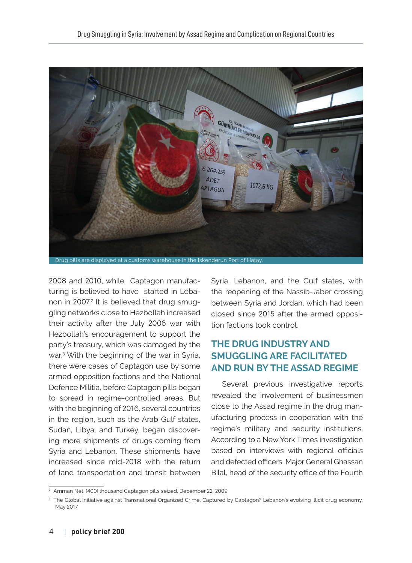

2008 and 2010, while Captagon manufacturing is believed to have started in Lebanon in 2007.<sup>2</sup> It is believed that drug smuggling networks close to Hezbollah increased their activity after the July 2006 war with Hezbollah's encouragement to support the party's treasury, which was damaged by the war.3 With the beginning of the war in Syria, there were cases of Captagon use by some armed opposition factions and the National Defence Militia, before Captagon pills began to spread in regime-controlled areas. But with the beginning of 2016, several countries in the region, such as the Arab Gulf states, Sudan, Libya, and Turkey, began discovering more shipments of drugs coming from Syria and Lebanon. These shipments have increased since mid-2018 with the return of land transportation and transit between

Syria, Lebanon, and the Gulf states, with the reopening of the Nassib-Jaber crossing between Syria and Jordan, which had been closed since 2015 after the armed opposition factions took control.

# **THE DRUG INDUSTRY AND SMUGGLING ARE FACILITATED AND RUN BY THE ASSAD REGIME**

Several previous investigative reports revealed the involvement of businessmen close to the Assad regime in the drug manufacturing process in cooperation with the regime's military and security institutions. According to a New York Times investigation based on interviews with regional officials and defected officers, Major General Ghassan Bilal, head of the security office of the Fourth

<sup>2</sup> Amman Net, (400) thousand Captagon pills seized, December 22, 2009

<sup>3</sup> The Global Initiative against Transnational Organized Crime, Captured by Captagon? Lebanon's evolving illicit drug economy, May 2017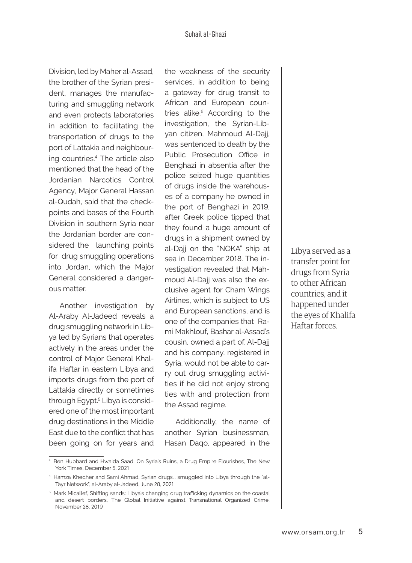Division, led by Maher al-Assad, the brother of the Syrian president, manages the manufacturing and smuggling network and even protects laboratories in addition to facilitating the transportation of drugs to the port of Lattakia and neighbouring countries.<sup>4</sup> The article also mentioned that the head of the Jordanian Narcotics Control Agency, Major General Hassan al-Qudah, said that the checkpoints and bases of the Fourth Division in southern Syria near the Jordanian border are considered the launching points for drug smuggling operations into Jordan, which the Major General considered a dangerous matter.

Another investigation by Al-Araby Al-Jadeed reveals a drug smuggling network in Libya led by Syrians that operates actively in the areas under the control of Major General Khalifa Haftar in eastern Libya and imports drugs from the port of Lattakia directly or sometimes through Egypt.<sup>5</sup> Libya is considered one of the most important drug destinations in the Middle East due to the conflict that has been going on for years and

the weakness of the security services, in addition to being a gateway for drug transit to African and European countries alike.<sup>6</sup> According to the investigation, the Syrian-Libyan citizen, Mahmoud Al-Dajj, was sentenced to death by the Public Prosecution Office in Benghazi in absentia after the police seized huge quantities of drugs inside the warehouses of a company he owned in the port of Benghazi in 2019, after Greek police tipped that they found a huge amount of drugs in a shipment owned by al-Dajj on the "NOKA" ship at sea in December 2018. The investigation revealed that Mahmoud Al-Dajj was also the exclusive agent for Cham Wings Airlines, which is subject to US and European sanctions, and is one of the companies that Rami Makhlouf, Bashar al-Assad's cousin, owned a part of. Al-Dajj and his company, registered in Syria, would not be able to carry out drug smuggling activities if he did not enjoy strong ties with and protection from the Assad regime.

Additionally, the name of another Syrian businessman, Hasan Daqo, appeared in the

Libya served as a transfer point for drugs from Syria to other African countries, and it happened under the eyes of Khalifa Haftar forces.

<sup>4</sup> Ben Hubbard and Hwaida Saad, On Syria's Ruins, a Drug Empire Flourishes, The New York Times, December 5, 2021

 $^{\rm 5}$  Hamza Khedher and Sami Ahmad, Syrian drugs... smuggled into Libya through the "al-Tayr Network", al-Araby al-Jadeed, June 28, 2021

<sup>6</sup> Mark Micallef, Shifting sands: Libya's changing drug trafficking dynamics on the coastal and desert borders, The Global Initiative against Transnational Organized Crime, November 28, 2019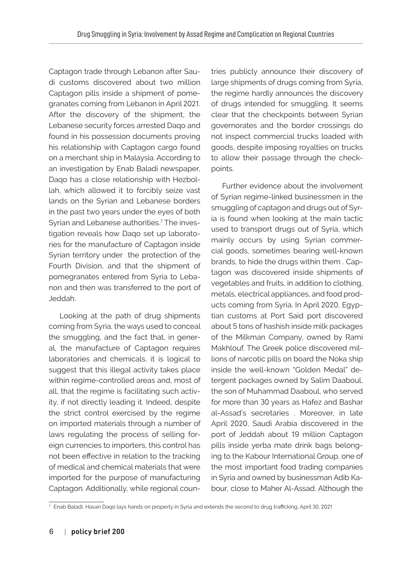Captagon trade through Lebanon after Saudi customs discovered about two million Captagon pills inside a shipment of pomegranates coming from Lebanon in April 2021. After the discovery of the shipment, the Lebanese security forces arrested Daqo and found in his possession documents proving his relationship with Captagon cargo found on a merchant ship in Malaysia. According to an investigation by Enab Baladi newspaper, Daqo has a close relationship with Hezbollah, which allowed it to forcibly seize vast lands on the Syrian and Lebanese borders in the past two years under the eyes of both Syrian and Lebanese authorities.<sup>7</sup> The investigation reveals how Daqo set up laboratories for the manufacture of Captagon inside Syrian territory under the protection of the Fourth Division, and that the shipment of pomegranates entered from Syria to Lebanon and then was transferred to the port of Jeddah.

Looking at the path of drug shipments coming from Syria, the ways used to conceal the smuggling, and the fact that, in general, the manufacture of Captagon requires laboratories and chemicals, it is logical to suggest that this illegal activity takes place within regime-controlled areas and, most of all, that the regime is facilitating such activity, if not directly leading it. Indeed, despite the strict control exercised by the regime on imported materials through a number of laws regulating the process of selling foreign currencies to importers, this control has not been effective in relation to the tracking of medical and chemical materials that were imported for the purpose of manufacturing Captagon. Additionally, while regional countries publicly announce their discovery of large shipments of drugs coming from Syria, the regime hardly announces the discovery of drugs intended for smuggling. It seems clear that the checkpoints between Syrian governorates and the border crossings do not inspect commercial trucks loaded with goods, despite imposing royalties on trucks to allow their passage through the checkpoints.

Further evidence about the involvement of Syrian regime-linked businessmen in the smuggling of captagon and drugs out of Syria is found when looking at the main tactic used to transport drugs out of Syria, which mainly occurs by using Syrian commercial goods, sometimes bearing well-known brands, to hide the drugs within them . Captagon was discovered inside shipments of vegetables and fruits, in addition to clothing, metals, electrical appliances, and food products coming from Syria. In April 2020, Egyptian customs at Port Said port discovered about 5 tons of hashish inside milk packages of the Milkman Company, owned by Rami Makhlouf. The Greek police discovered millions of narcotic pills on board the Noka ship inside the well-known "Golden Medal" detergent packages owned by Salim Daaboul, the son of Muhammad Daaboul, who served for more than 30 years as Hafez and Bashar al-Assad's secretaries . Moreover, in late April 2020, Saudi Arabia discovered in the port of Jeddah about 19 million Captagon pills inside yerba mate drink bags belonging to the Kabour International Group, one of the most important food trading companies in Syria and owned by businessman Adib Kabour, close to Maher Al-Assad. Although the

<sup>7</sup> Enab Baladi, Hasan Daqo lays hands on property in Syria and extends the second to drug trafficking, April 30, 2021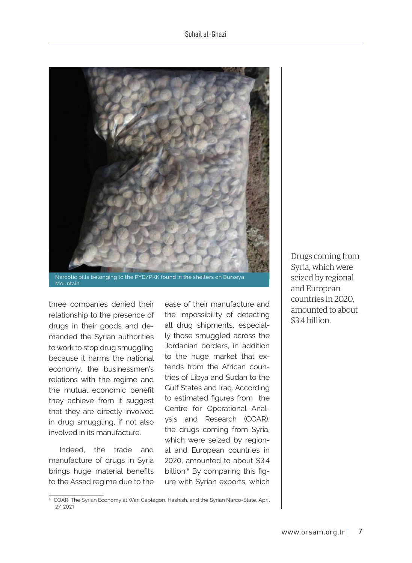

Mountain.

three companies denied their relationship to the presence of drugs in their goods and demanded the Syrian authorities to work to stop drug smuggling because it harms the national economy, the businessmen's relations with the regime and the mutual economic benefit they achieve from it suggest that they are directly involved in drug smuggling, if not also involved in its manufacture.

Indeed, the trade and manufacture of drugs in Syria brings huge material benefits to the Assad regime due to the

ease of their manufacture and the impossibility of detecting all drug shipments, especially those smuggled across the Jordanian borders, in addition to the huge market that extends from the African countries of Libya and Sudan to the Gulf States and Iraq. According to estimated figures from the Centre for Operational Analysis and Research (COAR), the drugs coming from Syria, which were seized by regional and European countries in 2020, amounted to about \$3.4 billion.<sup>8</sup> By comparing this figure with Syrian exports, which

Drugs coming from Syria, which were seized by regional and European countries in 2020, amounted to about \$3.4 billion.

<sup>&</sup>lt;sup>8</sup> COAR, The Syrian Economy at War: Captagon, Hashish, and the Syrian Narco-State, April 27, 2021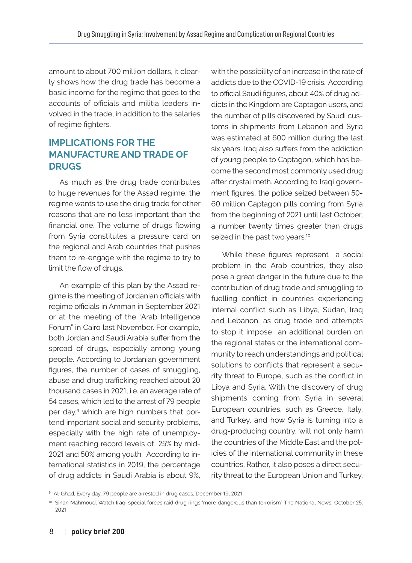amount to about 700 million dollars, it clearly shows how the drug trade has become a basic income for the regime that goes to the accounts of officials and militia leaders involved in the trade, in addition to the salaries of regime fighters.

## **IMPLICATIONS FOR THE MANUFACTURE AND TRADE OF DRUGS**

As much as the drug trade contributes to huge revenues for the Assad regime, the regime wants to use the drug trade for other reasons that are no less important than the financial one. The volume of drugs flowing from Syria constitutes a pressure card on the regional and Arab countries that pushes them to re-engage with the regime to try to limit the flow of drugs.

An example of this plan by the Assad regime is the meeting of Jordanian officials with regime officials in Amman in September 2021 or at the meeting of the "Arab Intelligence Forum" in Cairo last November. For example, both Jordan and Saudi Arabia suffer from the spread of drugs, especially among young people. According to Jordanian government figures, the number of cases of smuggling, abuse and drug trafficking reached about 20 thousand cases in 2021, i.e. an average rate of 54 cases, which led to the arrest of 79 people per day,<sup>9</sup> which are high numbers that portend important social and security problems, especially with the high rate of unemployment reaching record levels of 25% by mid-2021 and 50% among youth. According to international statistics in 2019, the percentage of drug addicts in Saudi Arabia is about 9%, with the possibility of an increase in the rate of addicts due to the COVID-19 crisis. According to official Saudi figures, about 40% of drug addicts in the Kingdom are Captagon users, and the number of pills discovered by Saudi customs in shipments from Lebanon and Syria was estimated at 600 million during the last six years. Iraq also suffers from the addiction of young people to Captagon, which has become the second most commonly used drug after crystal meth. According to Iraqi government figures, the police seized between 50- 60 million Captagon pills coming from Syria from the beginning of 2021 until last October, a number twenty times greater than drugs seized in the past two years.<sup>10</sup>

While these figures represent a social problem in the Arab countries, they also pose a great danger in the future due to the contribution of drug trade and smuggling to fuelling conflict in countries experiencing internal conflict such as Libya, Sudan, Iraq and Lebanon, as drug trade and attempts to stop it impose an additional burden on the regional states or the international community to reach understandings and political solutions to conflicts that represent a security threat to Europe, such as the conflict in Libya and Syria. With the discovery of drug shipments coming from Syria in several European countries, such as Greece, Italy, and Turkey, and how Syria is turning into a drug-producing country, will not only harm the countries of the Middle East and the policies of the international community in these countries. Rather, it also poses a direct security threat to the European Union and Turkey.

<sup>9</sup> Al-Ghad, Every day, 79 people are arrested in drug cases, December 19, 2021

<sup>&</sup>lt;sup>10</sup> Sinan Mahmoud, Watch Iraqi special forces raid drug rings 'more dangerous than terrorism', The National News, October 25, 2021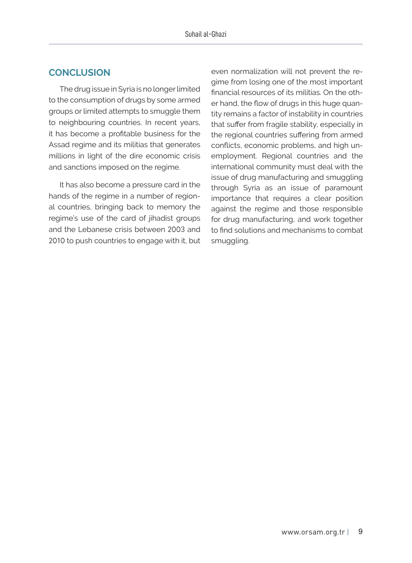## **CONCLUSION**

The drug issue in Syria is no longer limited to the consumption of drugs by some armed groups or limited attempts to smuggle them to neighbouring countries. In recent years, it has become a profitable business for the Assad regime and its militias that generates millions in light of the dire economic crisis and sanctions imposed on the regime.

It has also become a pressure card in the hands of the regime in a number of regional countries, bringing back to memory the regime's use of the card of jihadist groups and the Lebanese crisis between 2003 and 2010 to push countries to engage with it, but even normalization will not prevent the regime from losing one of the most important financial resources of its militias. On the other hand, the flow of drugs in this huge quantity remains a factor of instability in countries that suffer from fragile stability, especially in the regional countries suffering from armed conflicts, economic problems, and high unemployment. Regional countries and the international community must deal with the issue of drug manufacturing and smuggling through Syria as an issue of paramount importance that requires a clear position against the regime and those responsible for drug manufacturing, and work together to find solutions and mechanisms to combat smuggling.